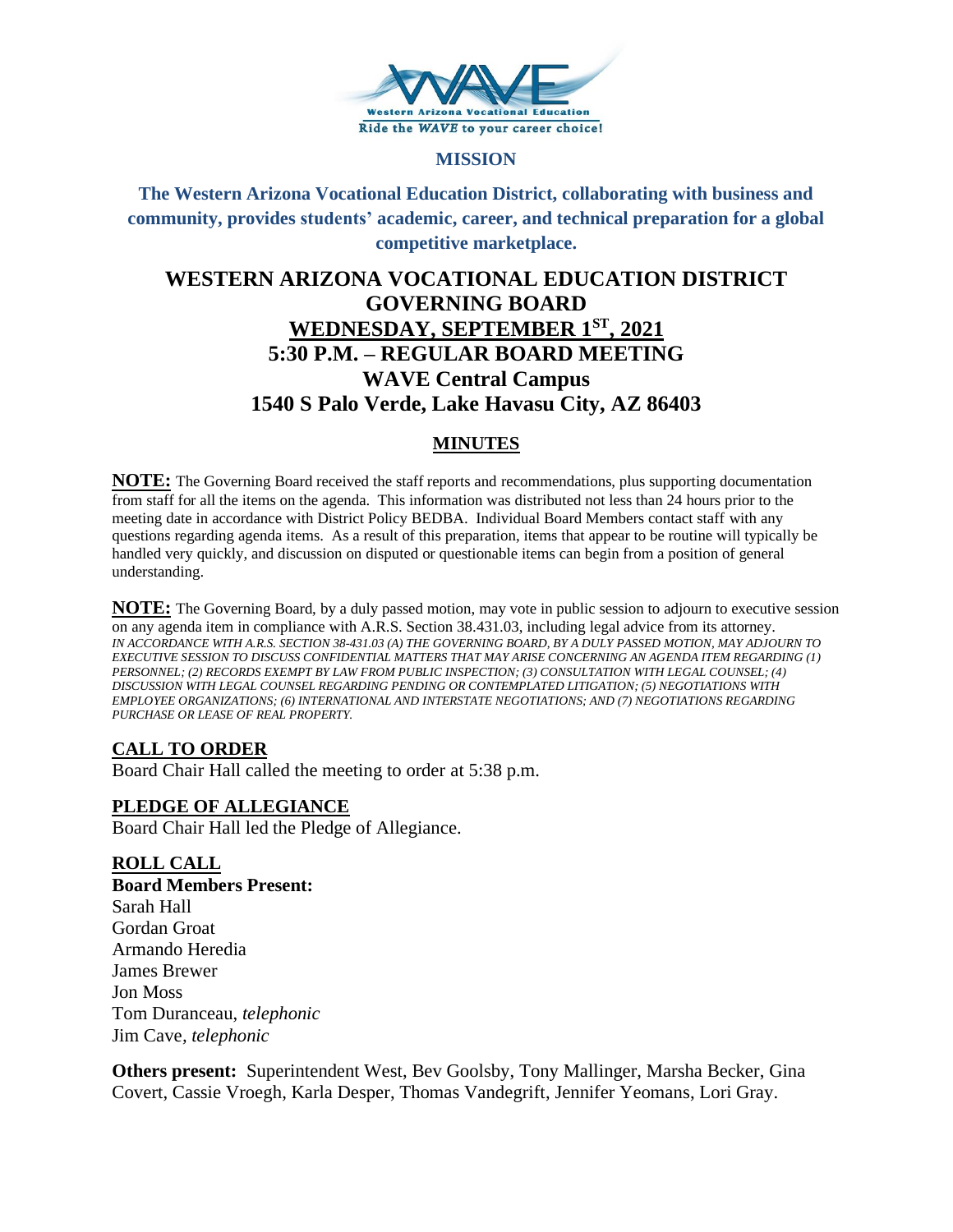

#### **MISSION**

**The Western Arizona Vocational Education District, collaborating with business and community, provides students' academic, career, and technical preparation for a global competitive marketplace.**

# **WESTERN ARIZONA VOCATIONAL EDUCATION DISTRICT GOVERNING BOARD WEDNESDAY, SEPTEMBER 1ST, 2021 5:30 P.M. – REGULAR BOARD MEETING WAVE Central Campus 1540 S Palo Verde, Lake Havasu City, AZ 86403**

# **MINUTES**

**NOTE:** The Governing Board received the staff reports and recommendations, plus supporting documentation from staff for all the items on the agenda. This information was distributed not less than 24 hours prior to the meeting date in accordance with District Policy BEDBA. Individual Board Members contact staff with any questions regarding agenda items. As a result of this preparation, items that appear to be routine will typically be handled very quickly, and discussion on disputed or questionable items can begin from a position of general understanding.

**NOTE:** The Governing Board, by a duly passed motion, may vote in public session to adjourn to executive session on any agenda item in compliance with A.R.S. Section 38.431.03, including legal advice from its attorney. *IN ACCORDANCE WITH A.R.S. SECTION 38-431.03 (A) THE GOVERNING BOARD, BY A DULY PASSED MOTION, MAY ADJOURN TO EXECUTIVE SESSION TO DISCUSS CONFIDENTIAL MATTERS THAT MAY ARISE CONCERNING AN AGENDA ITEM REGARDING (1) PERSONNEL; (2) RECORDS EXEMPT BY LAW FROM PUBLIC INSPECTION; (3) CONSULTATION WITH LEGAL COUNSEL; (4) DISCUSSION WITH LEGAL COUNSEL REGARDING PENDING OR CONTEMPLATED LITIGATION; (5) NEGOTIATIONS WITH EMPLOYEE ORGANIZATIONS; (6) INTERNATIONAL AND INTERSTATE NEGOTIATIONS; AND (7) NEGOTIATIONS REGARDING PURCHASE OR LEASE OF REAL PROPERTY.*

# **CALL TO ORDER**

Board Chair Hall called the meeting to order at 5:38 p.m.

# **PLEDGE OF ALLEGIANCE**

Board Chair Hall led the Pledge of Allegiance.

# **ROLL CALL**

**Board Members Present:** Sarah Hall Gordan Groat Armando Heredia James Brewer Jon Moss Tom Duranceau, *telephonic* Jim Cave*, telephonic*

**Others present:** Superintendent West, Bev Goolsby, Tony Mallinger, Marsha Becker, Gina Covert, Cassie Vroegh, Karla Desper, Thomas Vandegrift, Jennifer Yeomans, Lori Gray.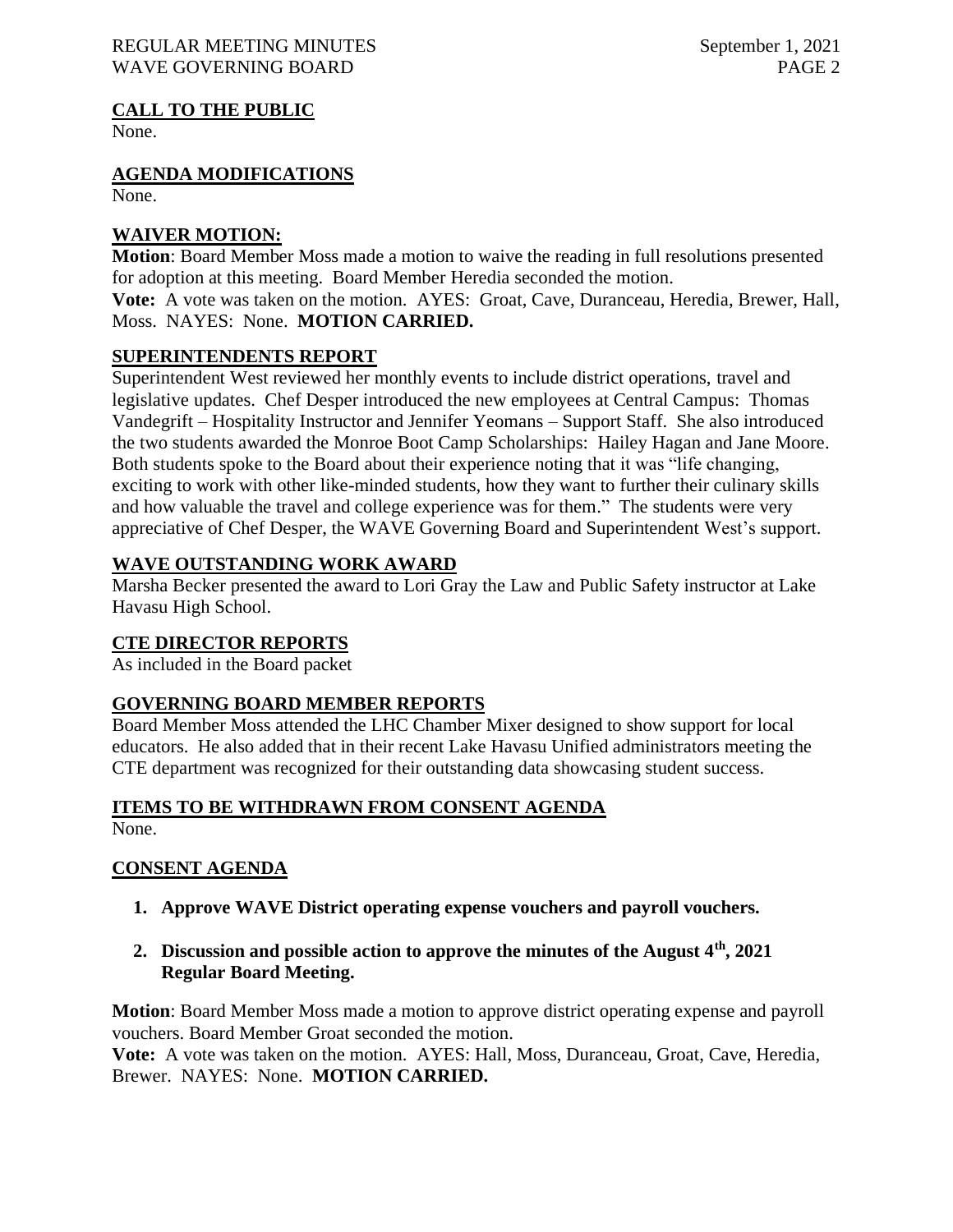#### REGULAR MEETING MINUTES September 1, 2021 WAVE GOVERNING BOARD **PAGE 2**

# **CALL TO THE PUBLIC**

None.

**AGENDA MODIFICATIONS**

None.

#### **WAIVER MOTION:**

**Motion**: Board Member Moss made a motion to waive the reading in full resolutions presented for adoption at this meeting. Board Member Heredia seconded the motion. **Vote:** A vote was taken on the motion. AYES: Groat, Cave, Duranceau, Heredia, Brewer, Hall, Moss. NAYES: None. **MOTION CARRIED.**

#### **SUPERINTENDENTS REPORT**

Superintendent West reviewed her monthly events to include district operations, travel and legislative updates. Chef Desper introduced the new employees at Central Campus: Thomas Vandegrift – Hospitality Instructor and Jennifer Yeomans – Support Staff. She also introduced the two students awarded the Monroe Boot Camp Scholarships: Hailey Hagan and Jane Moore. Both students spoke to the Board about their experience noting that it was "life changing, exciting to work with other like-minded students, how they want to further their culinary skills and how valuable the travel and college experience was for them." The students were very appreciative of Chef Desper, the WAVE Governing Board and Superintendent West's support.

# **WAVE OUTSTANDING WORK AWARD**

Marsha Becker presented the award to Lori Gray the Law and Public Safety instructor at Lake Havasu High School.

# **CTE DIRECTOR REPORTS**

As included in the Board packet

# **GOVERNING BOARD MEMBER REPORTS**

Board Member Moss attended the LHC Chamber Mixer designed to show support for local educators. He also added that in their recent Lake Havasu Unified administrators meeting the CTE department was recognized for their outstanding data showcasing student success.

# **ITEMS TO BE WITHDRAWN FROM CONSENT AGENDA**

None.

# **CONSENT AGENDA**

- **1. Approve WAVE District operating expense vouchers and payroll vouchers.**
- **2. Discussion and possible action to approve the minutes of the August 4th, 2021 Regular Board Meeting.**

**Motion**: Board Member Moss made a motion to approve district operating expense and payroll vouchers. Board Member Groat seconded the motion.

**Vote:** A vote was taken on the motion. AYES: Hall, Moss, Duranceau, Groat, Cave, Heredia, Brewer. NAYES: None. **MOTION CARRIED.**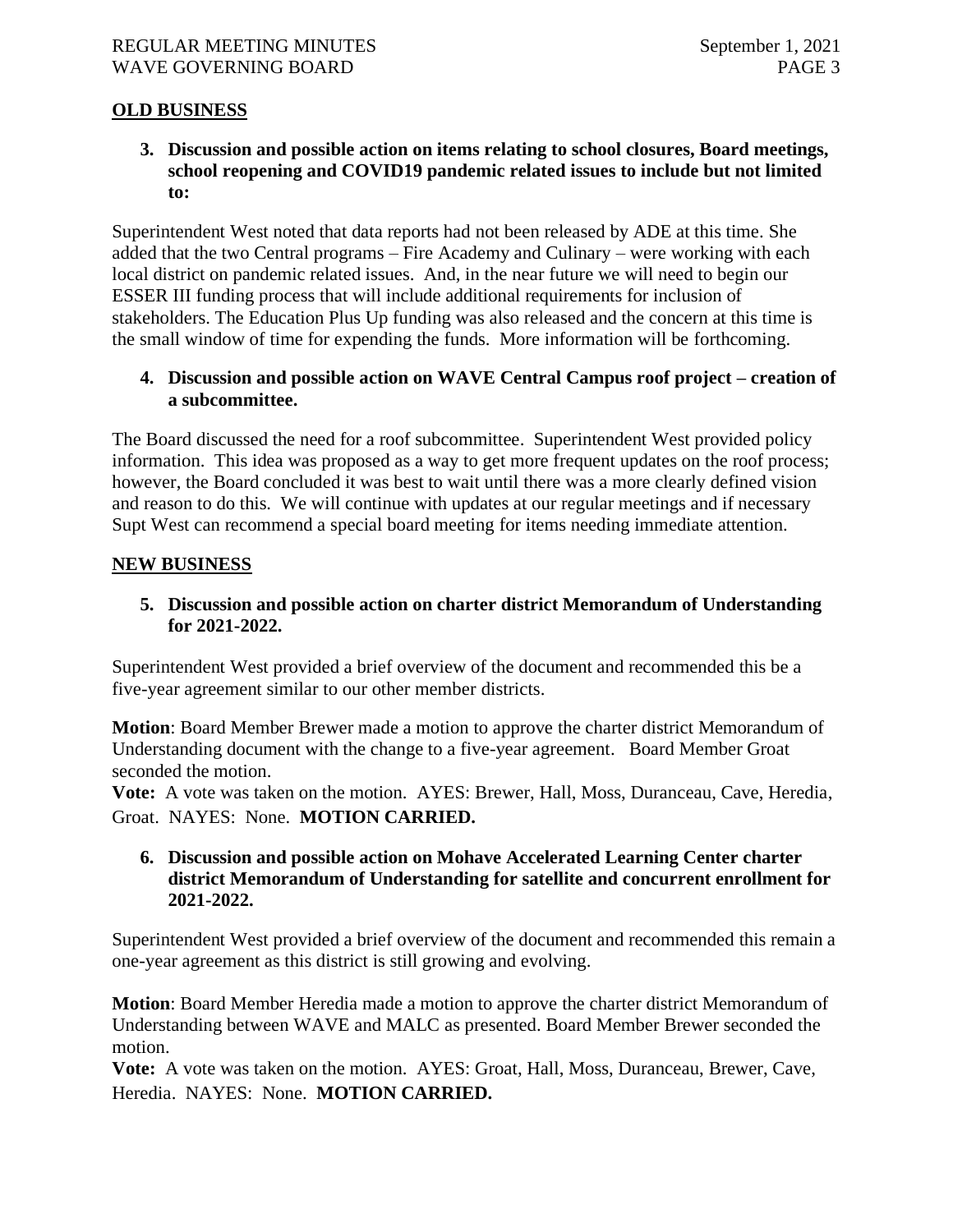# **OLD BUSINESS**

**3. Discussion and possible action on items relating to school closures, Board meetings, school reopening and COVID19 pandemic related issues to include but not limited to:**

Superintendent West noted that data reports had not been released by ADE at this time. She added that the two Central programs – Fire Academy and Culinary – were working with each local district on pandemic related issues. And, in the near future we will need to begin our ESSER III funding process that will include additional requirements for inclusion of stakeholders. The Education Plus Up funding was also released and the concern at this time is the small window of time for expending the funds. More information will be forthcoming.

# **4. Discussion and possible action on WAVE Central Campus roof project – creation of a subcommittee.**

The Board discussed the need for a roof subcommittee. Superintendent West provided policy information. This idea was proposed as a way to get more frequent updates on the roof process; however, the Board concluded it was best to wait until there was a more clearly defined vision and reason to do this. We will continue with updates at our regular meetings and if necessary Supt West can recommend a special board meeting for items needing immediate attention.

#### **NEW BUSINESS**

# **5. Discussion and possible action on charter district Memorandum of Understanding for 2021-2022.**

Superintendent West provided a brief overview of the document and recommended this be a five-year agreement similar to our other member districts.

**Motion**: Board Member Brewer made a motion to approve the charter district Memorandum of Understanding document with the change to a five-year agreement. Board Member Groat seconded the motion.

**Vote:** A vote was taken on the motion. AYES: Brewer, Hall, Moss, Duranceau, Cave, Heredia, Groat. NAYES: None. **MOTION CARRIED.**

#### **6. Discussion and possible action on Mohave Accelerated Learning Center charter district Memorandum of Understanding for satellite and concurrent enrollment for 2021-2022.**

Superintendent West provided a brief overview of the document and recommended this remain a one-year agreement as this district is still growing and evolving.

**Motion**: Board Member Heredia made a motion to approve the charter district Memorandum of Understanding between WAVE and MALC as presented. Board Member Brewer seconded the motion.

**Vote:** A vote was taken on the motion. AYES: Groat, Hall, Moss, Duranceau, Brewer, Cave, Heredia. NAYES: None. **MOTION CARRIED.**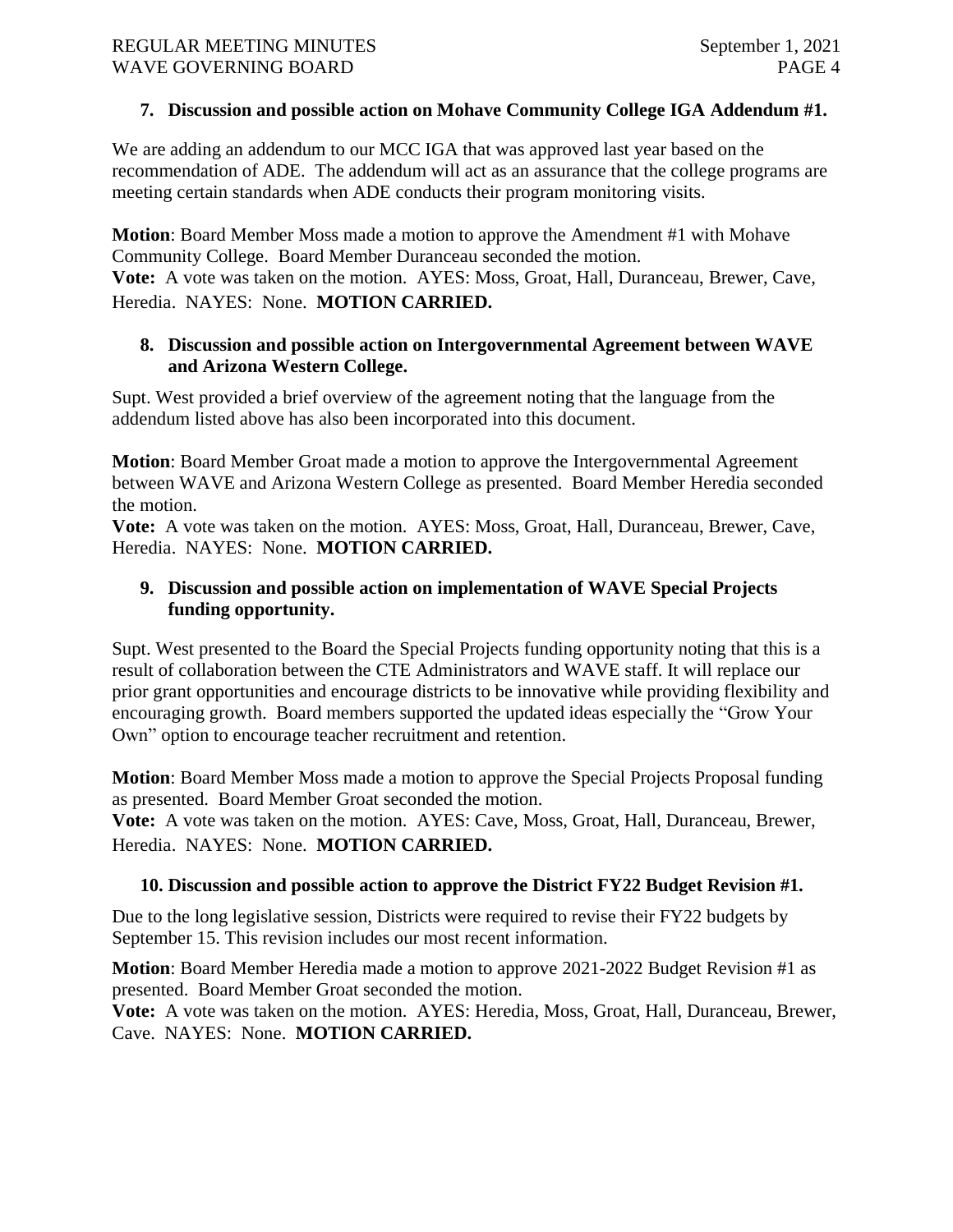#### **7. Discussion and possible action on Mohave Community College IGA Addendum #1.**

We are adding an addendum to our MCC IGA that was approved last year based on the recommendation of ADE. The addendum will act as an assurance that the college programs are meeting certain standards when ADE conducts their program monitoring visits.

**Motion**: Board Member Moss made a motion to approve the Amendment #1 with Mohave Community College. Board Member Duranceau seconded the motion. **Vote:** A vote was taken on the motion. AYES: Moss, Groat, Hall, Duranceau, Brewer, Cave, Heredia. NAYES: None. **MOTION CARRIED.**

# **8. Discussion and possible action on Intergovernmental Agreement between WAVE and Arizona Western College.**

Supt. West provided a brief overview of the agreement noting that the language from the addendum listed above has also been incorporated into this document.

**Motion**: Board Member Groat made a motion to approve the Intergovernmental Agreement between WAVE and Arizona Western College as presented. Board Member Heredia seconded the motion.

**Vote:** A vote was taken on the motion. AYES: Moss, Groat, Hall, Duranceau, Brewer, Cave, Heredia. NAYES: None. **MOTION CARRIED.**

# **9. Discussion and possible action on implementation of WAVE Special Projects funding opportunity.**

Supt. West presented to the Board the Special Projects funding opportunity noting that this is a result of collaboration between the CTE Administrators and WAVE staff. It will replace our prior grant opportunities and encourage districts to be innovative while providing flexibility and encouraging growth. Board members supported the updated ideas especially the "Grow Your Own" option to encourage teacher recruitment and retention.

**Motion**: Board Member Moss made a motion to approve the Special Projects Proposal funding as presented. Board Member Groat seconded the motion.

**Vote:** A vote was taken on the motion. AYES: Cave, Moss, Groat, Hall, Duranceau, Brewer, Heredia. NAYES: None. **MOTION CARRIED.**

# **10. Discussion and possible action to approve the District FY22 Budget Revision #1.**

Due to the long legislative session, Districts were required to revise their FY22 budgets by September 15. This revision includes our most recent information.

**Motion**: Board Member Heredia made a motion to approve 2021-2022 Budget Revision #1 as presented. Board Member Groat seconded the motion.

**Vote:** A vote was taken on the motion. AYES: Heredia, Moss, Groat, Hall, Duranceau, Brewer, Cave. NAYES: None. **MOTION CARRIED.**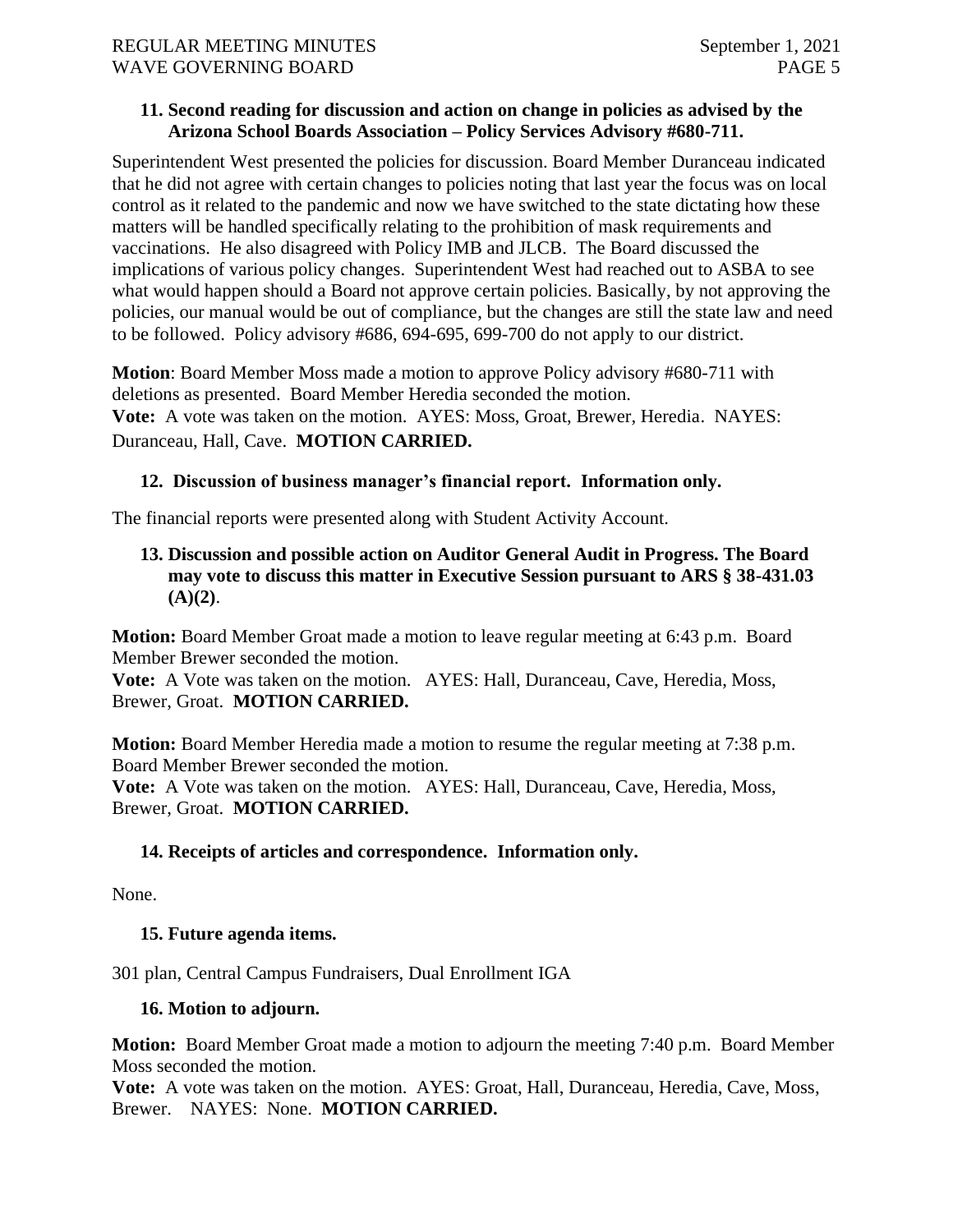#### **11. Second reading for discussion and action on change in policies as advised by the Arizona School Boards Association – Policy Services Advisory #680-711.**

Superintendent West presented the policies for discussion. Board Member Duranceau indicated that he did not agree with certain changes to policies noting that last year the focus was on local control as it related to the pandemic and now we have switched to the state dictating how these matters will be handled specifically relating to the prohibition of mask requirements and vaccinations. He also disagreed with Policy IMB and JLCB. The Board discussed the implications of various policy changes. Superintendent West had reached out to ASBA to see what would happen should a Board not approve certain policies. Basically, by not approving the policies, our manual would be out of compliance, but the changes are still the state law and need to be followed. Policy advisory #686, 694-695, 699-700 do not apply to our district.

**Motion**: Board Member Moss made a motion to approve Policy advisory #680-711 with deletions as presented. Board Member Heredia seconded the motion. **Vote:** A vote was taken on the motion. AYES: Moss, Groat, Brewer, Heredia. NAYES: Duranceau, Hall, Cave. **MOTION CARRIED.**

#### **12. Discussion of business manager's financial report. Information only.**

The financial reports were presented along with Student Activity Account.

# **13. Discussion and possible action on Auditor General Audit in Progress. The Board may vote to discuss this matter in Executive Session pursuant to ARS § 38-431.03 (A)(2)**.

**Motion:** Board Member Groat made a motion to leave regular meeting at 6:43 p.m. Board Member Brewer seconded the motion.

**Vote:** A Vote was taken on the motion. AYES: Hall, Duranceau, Cave, Heredia, Moss, Brewer, Groat. **MOTION CARRIED.**

**Motion:** Board Member Heredia made a motion to resume the regular meeting at 7:38 p.m. Board Member Brewer seconded the motion.

**Vote:** A Vote was taken on the motion. AYES: Hall, Duranceau, Cave, Heredia, Moss, Brewer, Groat. **MOTION CARRIED.**

# **14. Receipts of articles and correspondence. Information only.**

None.

#### **15. Future agenda items.**

301 plan, Central Campus Fundraisers, Dual Enrollment IGA

#### **16. Motion to adjourn.**

**Motion:** Board Member Groat made a motion to adjourn the meeting 7:40 p.m. Board Member Moss seconded the motion.

**Vote:** A vote was taken on the motion. AYES: Groat, Hall, Duranceau, Heredia, Cave, Moss, Brewer. NAYES: None. **MOTION CARRIED.**